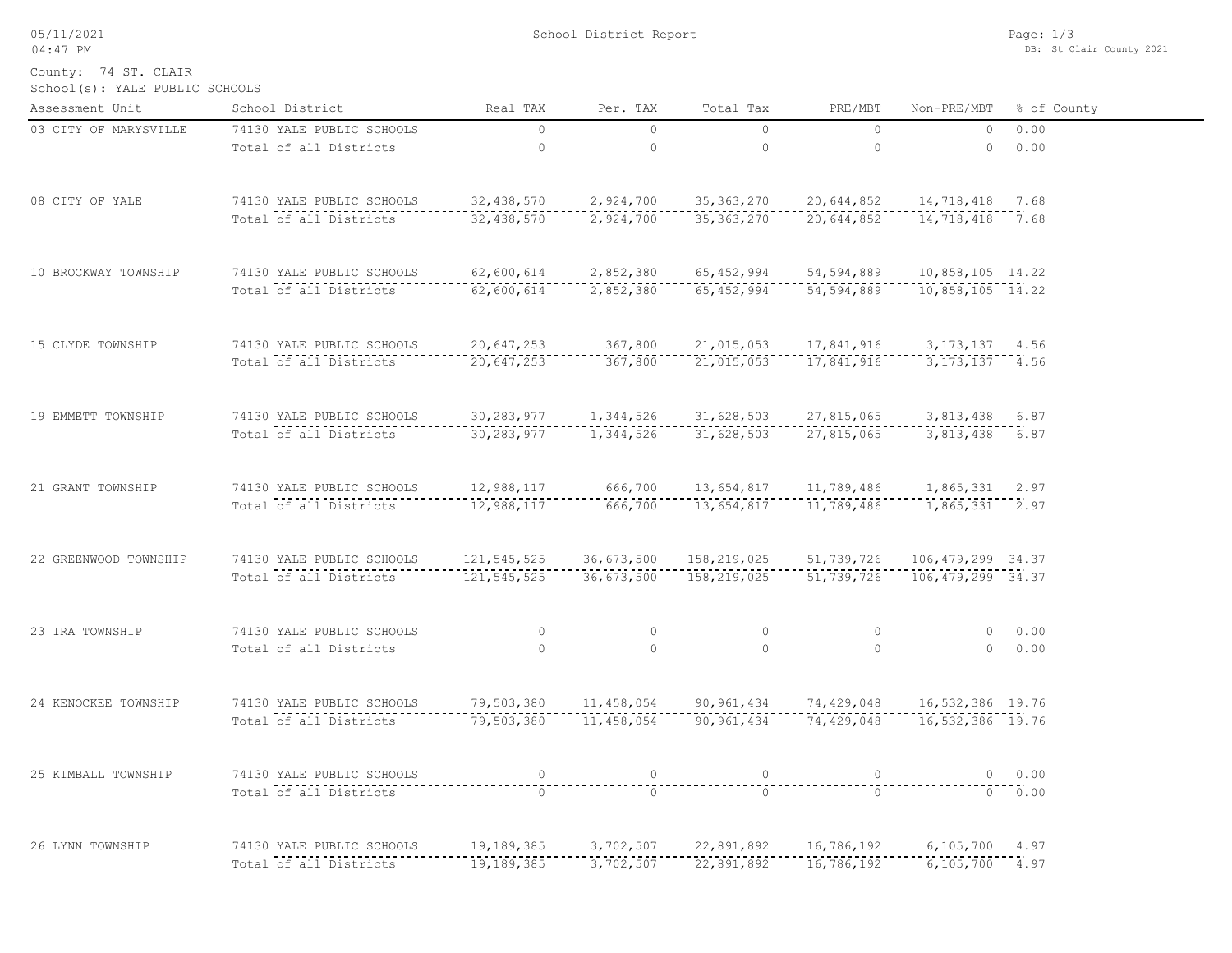05/11/2021 04:47 PM

School District Report

School(s): YALE PUBLIC SCHOOLS County: 74 ST. CLAIR

| Assessment Unit       | School District                                                                                                                                                     | Real TAX                                                                         | Per. TAX   | Total Tax                                                                                                                                                                                                                       | PRE/MBT                               | Non-PRE/MBT % of County |             |
|-----------------------|---------------------------------------------------------------------------------------------------------------------------------------------------------------------|----------------------------------------------------------------------------------|------------|---------------------------------------------------------------------------------------------------------------------------------------------------------------------------------------------------------------------------------|---------------------------------------|-------------------------|-------------|
| 03 CITY OF MARYSVILLE | 74130 YALE PUBLIC SCHOOLS                                                                                                                                           | $\overline{0}$                                                                   | $\bigcirc$ | $\bigcirc$                                                                                                                                                                                                                      | $\bigcirc$                            |                         | $0 \t 0.00$ |
|                       | Total of all Districts                                                                                                                                              | $1 - 1 - 1 = 0$                                                                  |            | $\overline{0}$                                                                                                                                                                                                                  | $- - - - -$                           |                         |             |
| 08 CITY OF YALE       | 74130 YALE PUBLIC SCHOOLS 32,438,570 2,924,700 35,363,270 20,644,852 14,718,418 7.68                                                                                |                                                                                  |            |                                                                                                                                                                                                                                 |                                       |                         |             |
|                       | Total of all Districts                                                                                                                                              |                                                                                  |            | $\frac{1}{32,438,570}$                                                                                                                                                                                                          |                                       |                         |             |
| 10 BROCKWAY TOWNSHIP  | 74130 YALE PUBLIC SCHOOLS 62,600,614 2,852,380 65,452,994 54,594,889 10,858,105 14.22                                                                               |                                                                                  |            |                                                                                                                                                                                                                                 |                                       |                         |             |
|                       | Total of all Districts                                                                                                                                              |                                                                                  |            |                                                                                                                                                                                                                                 |                                       |                         |             |
| 15 CLYDE TOWNSHIP     | 74130 YALE PUBLIC SCHOOLS 20,647,253 367,800 21,015,053 17,841,916 3,173,137 4.56<br>Total of all Districts 20,647,253 367,800 21,015,053 17,841,916 3,173,137 4.56 |                                                                                  |            |                                                                                                                                                                                                                                 |                                       |                         |             |
|                       |                                                                                                                                                                     |                                                                                  |            |                                                                                                                                                                                                                                 |                                       |                         |             |
| 19 EMMETT TOWNSHIP    | 74130 YALE PUBLIC SCHOOLS                                                                                                                                           | .s     30,283,977     1,344,526    31,628,503    27,815,065     3,813,438   6.87 |            |                                                                                                                                                                                                                                 |                                       |                         |             |
|                       | Total of all Districts                                                                                                                                              |                                                                                  |            |                                                                                                                                                                                                                                 |                                       |                         |             |
| 21 GRANT TOWNSHIP     |                                                                                                                                                                     |                                                                                  |            |                                                                                                                                                                                                                                 |                                       |                         |             |
|                       | 74130 YALE PUBLIC SCHOOLS 12,988,117 666,700 13,654,817 11,789,486 1,865,331 2.97<br>Total of all Districts 12,988,117 666,700 13,654,817 11,789,486 1,865,331 2.97 |                                                                                  |            |                                                                                                                                                                                                                                 |                                       |                         |             |
| 22 GREENWOOD TOWNSHIP | 74130 YALE PUBLIC SCHOOLS 121,545,525 36,673,500 158,219,025 51,739,726 106,479,299 34.37                                                                           |                                                                                  |            |                                                                                                                                                                                                                                 |                                       |                         |             |
|                       | Total of all Districts                                                                                                                                              |                                                                                  |            |                                                                                                                                                                                                                                 |                                       |                         |             |
| 23 IRA TOWNSHIP       | 74130 YALE PUBLIC SCHOOLS<br>Total of all Districts                                                                                                                 |                                                                                  |            |                                                                                                                                                                                                                                 |                                       |                         | 0 0.00      |
|                       |                                                                                                                                                                     |                                                                                  |            |                                                                                                                                                                                                                                 |                                       | $\frac{1}{0}$ . 00.00   |             |
| 24 KENOCKEE TOWNSHIP  | 74130 YALE PUBLIC SCHOOLS 79,503,380 11,458,054 90,961,434 74,429,048 16,532,386 19.76                                                                              |                                                                                  |            |                                                                                                                                                                                                                                 |                                       |                         |             |
|                       | Total of all Districts                                                                                                                                              |                                                                                  |            |                                                                                                                                                                                                                                 |                                       |                         |             |
| 25 KIMBALL TOWNSHIP   | 74130 YALE PUBLIC SCHOOLS                                                                                                                                           | $\circ$                                                                          |            | 0                                                                                                                                                                                                                               | $\begin{array}{c} 0 \\ - \end{array}$ |                         | $0 \t 0.00$ |
|                       | Total of all Districts                                                                                                                                              | $\cap$                                                                           | $\cap$     | $-5 -$                                                                                                                                                                                                                          | $\cap$                                |                         | 0.00        |
| 26 LYNN TOWNSHIP      | 74130 YALE PUBLIC SCHOOLS                                                                                                                                           | 19,189,385 3,702,507 22,891,892 16,786,192 6,105,700 4.97                        |            |                                                                                                                                                                                                                                 |                                       |                         |             |
|                       | Total of all Districts                                                                                                                                              |                                                                                  |            | $\begin{array}{cccccccccccc} \texttt{19,189,385} & \texttt{---} & \texttt{3,702,507} & \texttt{---} & \texttt{22,891,892} & \texttt{---} & \texttt{16,786,192} & \texttt{---} & \texttt{6,105,700} & \texttt{4.97} \end{array}$ |                                       |                         |             |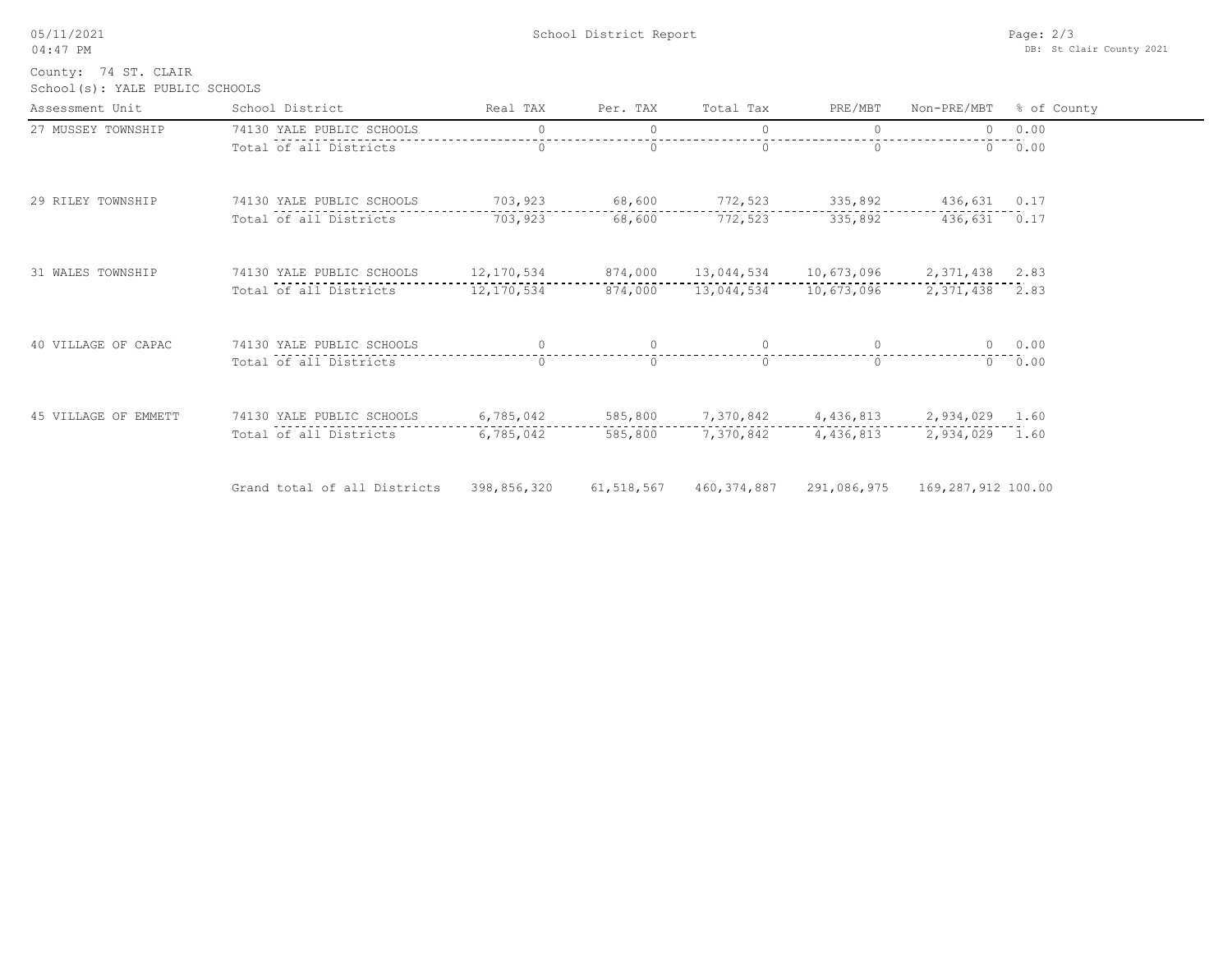| 05/11/2021    |   |
|---------------|---|
| $04 \cdot 47$ | ⊵ |

School(s): YALE PUBLIC SCHOOLS County: 74 ST. CLAIR

| Assessment Unit      | School District              | Real TAX           | Per. TAX     | Total Tax         | PRE/MBT                              | Non-PRE/MBT        | % of County |
|----------------------|------------------------------|--------------------|--------------|-------------------|--------------------------------------|--------------------|-------------|
| 27 MUSSEY TOWNSHIP   | 74130 YALE PUBLIC SCHOOLS    | $\Omega$           | $\circ$      | $\circ$           | $\circ$                              |                    | 0 0.00      |
|                      | Total of all Districts       |                    | $\Omega$     | $\Omega$          | $\Omega$                             |                    | $0 \t 0.00$ |
| 29 RILEY TOWNSHIP    | 74130 YALE PUBLIC SCHOOLS    | 703,923            | 68,600       | 772,523           | 335,892                              | 436,631 0.17       |             |
|                      | Total of all Districts       | 703,923            | 68,600       | 772,523           | 335,892                              | 436,631 0.17       |             |
| 31 WALES TOWNSHIP    | 74130 YALE PUBLIC SCHOOLS    | 12,170,534 874,000 |              |                   | 13,044,534 10,673,096 2,371,438 2.83 |                    |             |
|                      | Total of all Districts       | 12,170,534         | 874,000      |                   | 13,044,534 10,673,096                | 2,371,438 2.83     |             |
| 40 VILLAGE OF CAPAC  | 74130 YALE PUBLIC SCHOOLS    |                    | $\circ$      | $\Omega$          |                                      | $\Omega$           | 0.00        |
|                      | Total of all Districts       | $\Omega$           | $\Omega$     | $\Omega$          | $\Omega$                             | $\Omega$           | 0.00        |
| 45 VILLAGE OF EMMETT | 74130 YALE PUBLIC SCHOOLS    | 6,785,042          |              | 585,800 7,370,842 | 4,436,813                            | 2,934,029 1.60     |             |
|                      | Total of all Districts       | 6,785,042          | 585,800      | 7,370,842         | 4,436,813                            | 2,934,029          | 1.60        |
|                      | Grand total of all Districts | 398,856,320        | 61, 518, 567 | 460, 374, 887     | 291,086,975                          | 169,287,912 100.00 |             |